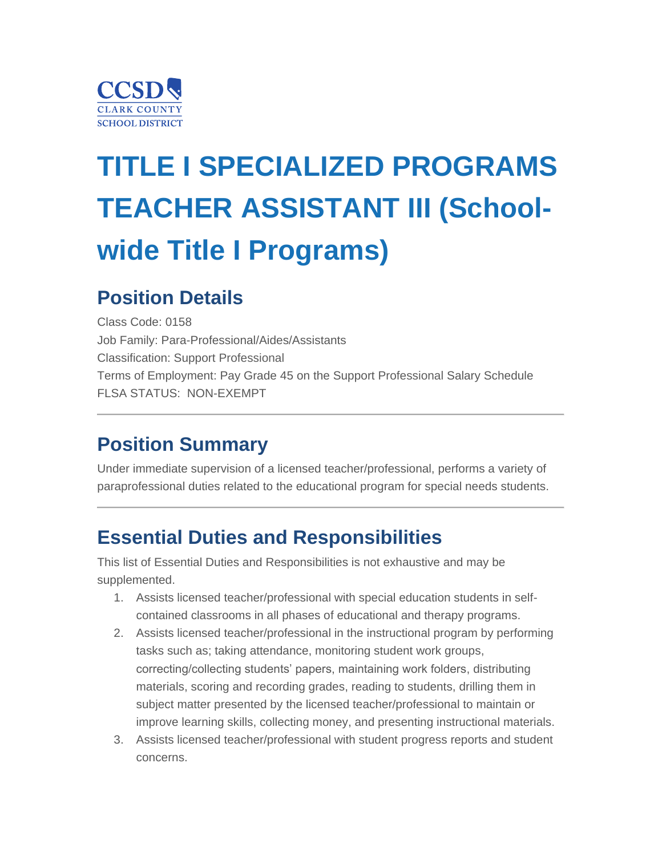

# **TITLE I SPECIALIZED PROGRAMS TEACHER ASSISTANT III (Schoolwide Title I Programs)**

### **Position Details**

Class Code: 0158 Job Family: Para-Professional/Aides/Assistants Classification: Support Professional Terms of Employment: Pay Grade 45 on the Support Professional Salary Schedule FLSA STATUS: NON-EXEMPT

### **Position Summary**

Under immediate supervision of a licensed teacher/professional, performs a variety of paraprofessional duties related to the educational program for special needs students.

### **Essential Duties and Responsibilities**

This list of Essential Duties and Responsibilities is not exhaustive and may be supplemented.

- 1. Assists licensed teacher/professional with special education students in selfcontained classrooms in all phases of educational and therapy programs.
- 2. Assists licensed teacher/professional in the instructional program by performing tasks such as; taking attendance, monitoring student work groups, correcting/collecting students' papers, maintaining work folders, distributing materials, scoring and recording grades, reading to students, drilling them in subject matter presented by the licensed teacher/professional to maintain or improve learning skills, collecting money, and presenting instructional materials.
- 3. Assists licensed teacher/professional with student progress reports and student concerns.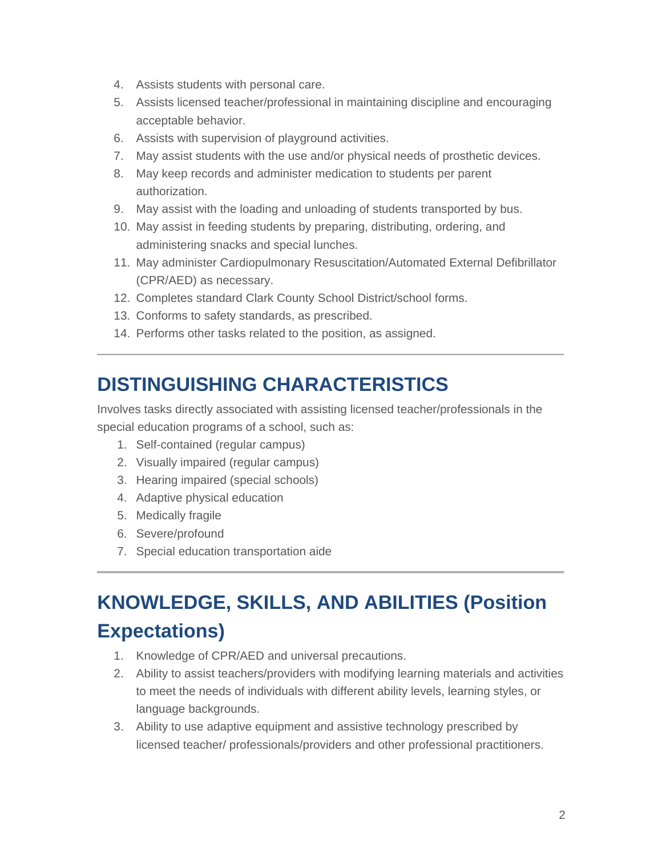- 4. Assists students with personal care.
- 5. Assists licensed teacher/professional in maintaining discipline and encouraging acceptable behavior.
- 6. Assists with supervision of playground activities.
- 7. May assist students with the use and/or physical needs of prosthetic devices.
- 8. May keep records and administer medication to students per parent authorization.
- 9. May assist with the loading and unloading of students transported by bus.
- 10. May assist in feeding students by preparing, distributing, ordering, and administering snacks and special lunches.
- 11. May administer Cardiopulmonary Resuscitation/Automated External Defibrillator (CPR/AED) as necessary.
- 12. Completes standard Clark County School District/school forms.
- 13. Conforms to safety standards, as prescribed.
- 14. Performs other tasks related to the position, as assigned.

### **DISTINGUISHING CHARACTERISTICS**

Involves tasks directly associated with assisting licensed teacher/professionals in the special education programs of a school, such as:

- 1. Self-contained (regular campus)
- 2. Visually impaired (regular campus)
- 3. Hearing impaired (special schools)
- 4. Adaptive physical education
- 5. Medically fragile
- 6. Severe/profound
- 7. Special education transportation aide

# **KNOWLEDGE, SKILLS, AND ABILITIES (Position Expectations)**

- 1. Knowledge of CPR/AED and universal precautions.
- 2. Ability to assist teachers/providers with modifying learning materials and activities to meet the needs of individuals with different ability levels, learning styles, or language backgrounds.
- 3. Ability to use adaptive equipment and assistive technology prescribed by licensed teacher/ professionals/providers and other professional practitioners.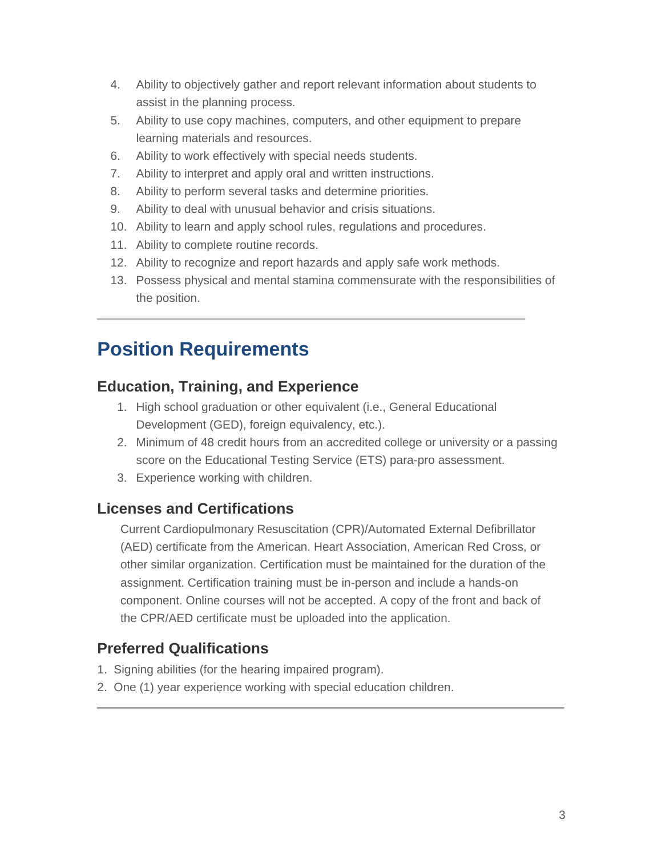- 4. Ability to objectively gather and report relevant information about students to assist in the planning process.
- 5. Ability to use copy machines, computers, and other equipment to prepare learning materials and resources.
- 6. Ability to work effectively with special needs students.
- 7. Ability to interpret and apply oral and written instructions.
- 8. Ability to perform several tasks and determine priorities.
- 9. Ability to deal with unusual behavior and crisis situations.
- 10. Ability to learn and apply school rules, regulations and procedures.
- 11. Ability to complete routine records.
- 12. Ability to recognize and report hazards and apply safe work methods.
- 13. Possess physical and mental stamina commensurate with the responsibilities of the position.

### **Position Requirements**

#### **Education, Training, and Experience**

- 1. High school graduation or other equivalent (i.e., General Educational Development (GED), foreign equivalency, etc.).
- 2. Minimum of 48 credit hours from an accredited college or university or a passing score on the Educational Testing Service (ETS) para-pro assessment.
- 3. Experience working with children.

#### **Licenses and Certifications**

 Current Cardiopulmonary Resuscitation (CPR)/Automated External Defibrillator (AED) certificate from the American. Heart Association, American Red Cross, or other similar organization. Certification must be maintained for the duration of the assignment. Certification training must be in-person and include a hands-on component. Online courses will not be accepted. A copy of the front and back of the CPR/AED certificate must be uploaded into the application.

#### **Preferred Qualifications**

- 1. Signing abilities (for the hearing impaired program).
- 2. One (1) year experience working with special education children.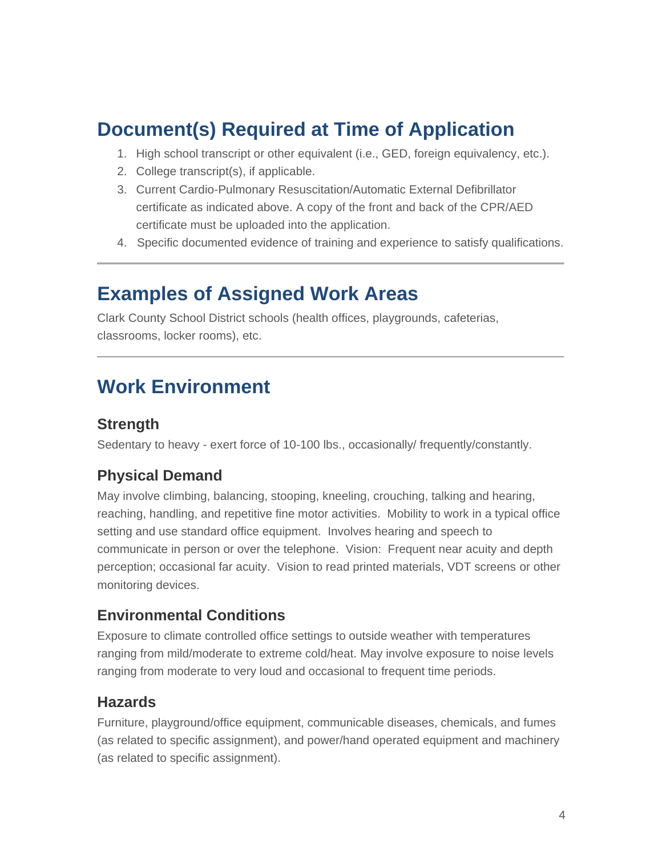### **Document(s) Required at Time of Application**

- 1. High school transcript or other equivalent (i.e., GED, foreign equivalency, etc.).
- 2. College transcript(s), if applicable.
- 3. Current Cardio-Pulmonary Resuscitation/Automatic External Defibrillator certificate as indicated above. A copy of the front and back of the CPR/AED certificate must be uploaded into the application.
- 4. Specific documented evidence of training and experience to satisfy qualifications.

### **Examples of Assigned Work Areas**

Clark County School District schools (health offices, playgrounds, cafeterias, classrooms, locker rooms), etc.

### **Work Environment**

#### **Strength**

Sedentary to heavy - exert force of 10-100 lbs., occasionally/ frequently/constantly.

#### **Physical Demand**

May involve climbing, balancing, stooping, kneeling, crouching, talking and hearing, reaching, handling, and repetitive fine motor activities. Mobility to work in a typical office setting and use standard office equipment. Involves hearing and speech to communicate in person or over the telephone. Vision: Frequent near acuity and depth perception; occasional far acuity. Vision to read printed materials, VDT screens or other monitoring devices.

#### **Environmental Conditions**

Exposure to climate controlled office settings to outside weather with temperatures ranging from mild/moderate to extreme cold/heat. May involve exposure to noise levels ranging from moderate to very loud and occasional to frequent time periods.

#### **Hazards**

Furniture, playground/office equipment, communicable diseases, chemicals, and fumes (as related to specific assignment), and power/hand operated equipment and machinery (as related to specific assignment).